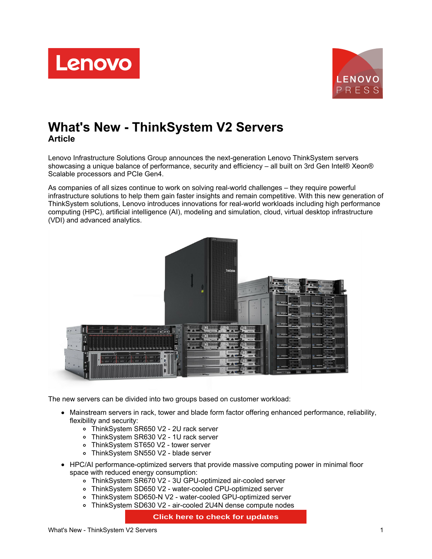



# **What's New - ThinkSystem V2 Servers Article**

Lenovo Infrastructure Solutions Group announces the next-generation Lenovo ThinkSystem servers showcasing a unique balance of performance, security and efficiency – all built on 3rd Gen Intel® Xeon® Scalable processors and PCIe Gen4.

As companies of all sizes continue to work on solving real-world challenges – they require powerful infrastructure solutions to help them gain faster insights and remain competitive. With this new generation of ThinkSystem solutions, Lenovo introduces innovations for real-world workloads including high performance computing (HPC), artificial intelligence (AI), modeling and simulation, cloud, virtual desktop infrastructure (VDI) and advanced analytics.



The new servers can be divided into two groups based on customer workload:

- Mainstream servers in rack, tower and blade form factor offering enhanced performance, reliability, flexibility and security:
	- ThinkSystem SR650 V2 2U rack server
	- ThinkSystem SR630 V2 1U rack server
	- ThinkSystem ST650 V2 tower server
	- ThinkSystem SN550 V2 blade server
- HPC/AI performance-optimized servers that provide massive computing power in minimal floor space with reduced energy consumption:
	- ThinkSystem SR670 V2 3U GPU-optimized air-cooled server
	- ThinkSystem SD650 V2 water-cooled CPU-optimized server
	- ThinkSystem SD650-N V2 water-cooled GPU-optimized server
	- ThinkSystem SD630 V2 air-cooled 2U4N dense compute nodes

**Click here to check for updates**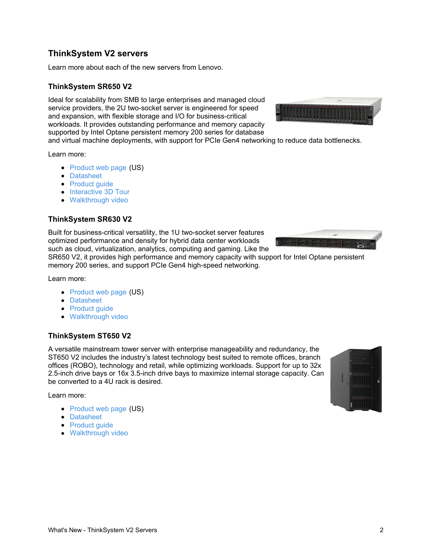# **ThinkSystem V2 servers**

Learn more about each of the new servers from Lenovo.

### **ThinkSystem SR650 V2**

Ideal for scalability from SMB to large enterprises and managed cloud service providers, the 2U two-socket server is engineered for speed and expansion, with flexible storage and I/O for business-critical workloads. It provides outstanding performance and memory capacity supported by Intel Optane persistent memory 200 series for database

and virtual machine deployments, with support for PCIe Gen4 networking to reduce data bottlenecks.

Learn more:

- [Product](https://www.lenovo.com/us/en/data-center/servers/racks/ThinkSystem-SR650-V2/p/77XX7SR65V2) web page (US)
- [Datasheet](https://lenovopress.com/ds0126)
- [Product](https://lenovopress.com/lp1392) guide
- [Interactive](https://lenovopress.com/lp1424) 3D Tour
- [Walkthrough](https://lenovopress.com/lp1403) video

### **ThinkSystem SR630 V2**

Built for business-critical versatility, the 1U two-socket server features optimized performance and density for hybrid data center workloads such as cloud, virtualization, analytics, computing and gaming. Like the

SR650 V2, it provides high performance and memory capacity with support for Intel Optane persistent memory 200 series, and support PCIe Gen4 high-speed networking.

Learn more:

- [Product](https://www.lenovo.com/us/en/data-center/servers/racks/ThinkSystem-SR630-V2/p/77XX7SR63V2) web page (US)
- [Datasheet](https://lenovopress.com/ds0125)
- [Product](https://lenovopress.com/lp1391) quide
- [Walkthrough](https://lenovopress.com/lp1402) video

#### **ThinkSystem ST650 V2**

A versatile mainstream tower server with enterprise manageability and redundancy, the ST650 V2 includes the industry's latest technology best suited to remote offices, branch offices (ROBO), technology and retail, while optimizing workloads. Support for up to 32x 2.5-inch drive bays or 16x 3.5-inch drive bays to maximize internal storage capacity. Can be converted to a 4U rack is desired.

Learn more:

- [Product](https://www.lenovo.com/us/en/p/data-center/servers/towers/thinksystem-st650-v2/len21ts0001) web page (US)
- [Datasheet](https://lenovopress.com/ds0127)
- [Product](https://lenovopress.com/lp1390) guide
- [Walkthrough](https://lenovopress.com/lp1401) video







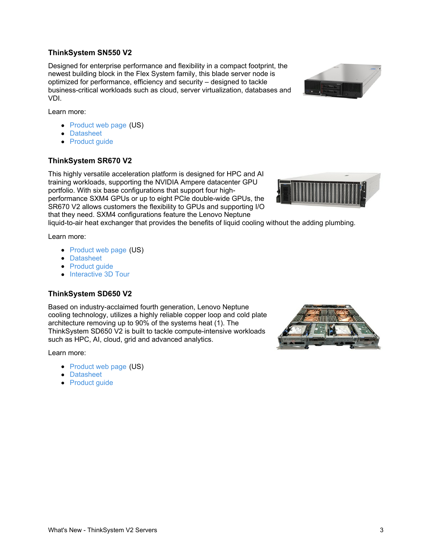### **ThinkSystem SN550 V2**

Designed for enterprise performance and flexibility in a compact footprint, the newest building block in the Flex System family, this blade server node is optimized for performance, efficiency and security – designed to tackle business-critical workloads such as cloud, server virtualization, databases and VDI.



Learn more:

- [Product](https://www.lenovo.com/us/en/data-center/servers/flex-blade-servers/compute-nodes/ThinkSystem-SN550/p/77XX7FSFS55) web page (US)
- [Datasheet](https://lenovopress.com/ds0128)
- [Product](https://lenovopress.com/lp1397) quide

#### **ThinkSystem SR670 V2**

This highly versatile acceleration platform is designed for HPC and AI training workloads, supporting the NVIDIA Ampere datacenter GPU portfolio. With six base configurations that support four highperformance SXM4 GPUs or up to eight PCIe double-wide GPUs, the SR670 V2 allows customers the flexibility to GPUs and supporting I/O that they need. SXM4 configurations feature the Lenovo Neptune



liquid-to-air heat exchanger that provides the benefits of liquid cooling without the adding plumbing.

Learn more:

- [Product](https://www.lenovo.com/us/en/data-center/servers/racks/ThinkSystem-SR670-V2/p/77XX7SR67V2) web page (US)
- [Datasheet](https://lenovopress.com/ds0123)
- [Product](https://lenovopress.com/lp1393) quide
- [Interactive](https://lenovopress.com/lp1425) 3D Tour

#### **ThinkSystem SD650 V2**

Based on industry-acclaimed fourth generation, Lenovo Neptune cooling technology, utilizes a highly reliable copper loop and cold plate architecture removing up to 90% of the systems heat (1). The ThinkSystem SD650 V2 is built to tackle compute-intensive workloads such as HPC, AI, cloud, grid and advanced analytics.

Learn more:

- [Product](https://www.lenovo.com/us/en/data-center/servers/high-density/ThinkSystem-SD650-V2/p/77XX7DSD652) web page (US)
- [Datasheet](https://lenovopress.com/ds0131)
- [Product](https://lenovopress.com/lp1395) guide

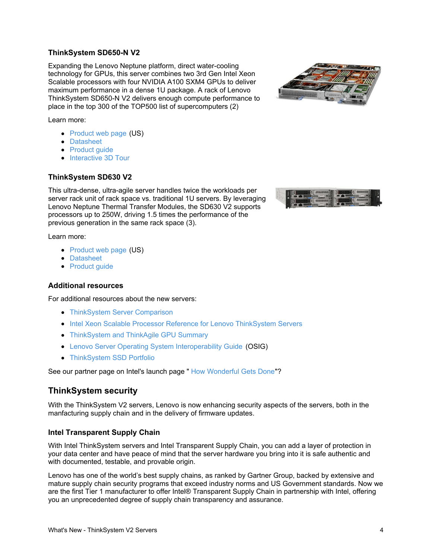# **ThinkSystem SD650-N V2**

Expanding the Lenovo Neptune platform, direct water-cooling technology for GPUs, this server combines two 3rd Gen Intel Xeon Scalable processors with four NVIDIA A100 SXM4 GPUs to deliver maximum performance in a dense 1U package. A rack of Lenovo ThinkSystem SD650-N V2 delivers enough compute performance to place in the top 300 of the TOP500 list of supercomputers (2)

Learn more:

- [Product](https://www.lenovo.com/us/en/data-center/servers/high-density/ThinkSystem-SD650-N-V2/p/77XX7DSD672) web page (US)
- [Datasheet](https://lenovopress.com/ds0124)
- [Product](https://lenovopress.com/lp1396) guide
- [Interactive](https://lenovopress.com/lp1428) 3D Tour

# **ThinkSystem SD630 V2**

This ultra-dense, ultra-agile server handles twice the workloads per server rack unit of rack space vs. traditional 1U servers. By leveraging Lenovo Neptune Thermal Transfer Modules, the SD630 V2 supports processors up to 250W, driving 1.5 times the performance of the previous generation in the same rack space (3).

Learn more:

- [Product](https://www.lenovo.com/us/en/data-center/servers/high-density/ThinkSystem-SD630-V2/p/77XX7DSD632) web page (US)
- [Datasheet](https://lenovopress.com/ds0130)
- [Product](https://lenovopress.com/lp1394) quide

## **Additional resources**

For additional resources about the new servers:

- **[ThinkSystem](https://lenovopress.com/lp1263-lenovo-thinksystem-server-comparison) Server Comparison**
- Intel Xeon Scalable Processor Reference for Lenovo [ThinkSystem](https://lenovopress.com/lp1262-intel-xeon-sp-processor-reference) Servers
- [ThinkSystem](https://lenovopress.com/lp0768-thinksystem-gpu-summary) and ThinkAgile GPU Summary
- Lenovo Server Operating System [Interoperability](https://lenovopress.com/osig) Guide (OSIG)
- **[ThinkSystem](https://lenovopress.com/lp1261-lenovo-thinksystem-ssd-portfolio) SSD Portfolio**

See our partner page on Intel's launch page " How [Wonderful](https://www.intel.com/content/www/us/en/events/how-wonderful-gets-done/partners/lenovo.html) Gets Done"?

# **ThinkSystem security**

With the ThinkSystem V2 servers, Lenovo is now enhancing security aspects of the servers, both in the manfacturing supply chain and in the delivery of firmware updates.

## **Intel Transparent Supply Chain**

With Intel ThinkSystem servers and Intel Transparent Supply Chain, you can add a layer of protection in your data center and have peace of mind that the server hardware you bring into it is safe authentic and with documented, testable, and provable origin.

Lenovo has one of the world's best supply chains, as ranked by Gartner Group, backed by extensive and mature supply chain security programs that exceed industry norms and US Government standards. Now we are the first Tier 1 manufacturer to offer Intel® Transparent Supply Chain in partnership with Intel, offering you an unprecedented degree of supply chain transparency and assurance.



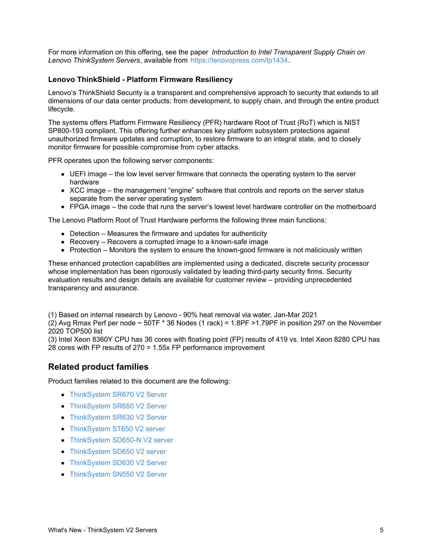For more information on this offering, see the paper *Introduction to Intel Transparent Supply Chain on Lenovo ThinkSystem Servers*, available from <https://lenovopress.com/lp1434>.

#### **Lenovo ThinkShield - Platform Firmware Resiliency**

Lenovo's ThinkShield Security is a transparent and comprehensive approach to security that extends to all dimensions of our data center products: from development, to supply chain, and through the entire product lifecycle.

The systems offers Platform Firmware Resiliency (PFR) hardware Root of Trust (RoT) which is NIST SP800-193 compliant. This offering further enhances key platform subsystem protections against unauthorized firmware updates and corruption, to restore firmware to an integral state, and to closely monitor firmware for possible compromise from cyber attacks.

PFR operates upon the following server components:

- UEFI image the low level server firmware that connects the operating system to the server hardware
- XCC image the management "engine" software that controls and reports on the server status separate from the server operating system
- FPGA image the code that runs the server's lowest level hardware controller on the motherboard

The Lenovo Platform Root of Trust Hardware performs the following three main functions:

- Detection Measures the firmware and updates for authenticity
- Recovery Recovers a corrupted image to a known-safe image
- Protection Monitors the system to ensure the known-good firmware is not maliciously written

These enhanced protection capabilities are implemented using a dedicated, discrete security processor whose implementation has been rigorously validated by leading third-party security firms. Security evaluation results and design details are available for customer review – providing unprecedented transparency and assurance.

(1) Based on internal research by Lenovo - 90% heat removal via water. Jan-Mar 2021

(2) Avg Rmax Perf per node ~ 50TF \* 36 Nodes (1 rack) = 1.8PF >1.79PF in position 297 on the November 2020 TOP500 list

(3) Intel Xeon 8360Y CPU has 36 cores with floating point (FP) results of 419 vs. Intel Xeon 8280 CPU has 28 cores with FP results of 270 = 1.55x FP performance improvement

## **Related product families**

Product families related to this document are the following:

- [ThinkSystem](https://lenovopress.com/servers/thinksystem-v2/sr670-v2) SR670 V2 Server
- [ThinkSystem](https://lenovopress.com/servers/thinksystem-v2/sr650-v2) SR650 V2 Server
- [ThinkSystem](https://lenovopress.com/servers/thinksystem-v2/sr630-v2) SR630 V2 Server
- [ThinkSystem](https://lenovopress.com/servers/thinksystem-v2/st650-v2) ST650 V2 server
- [ThinkSystem](https://lenovopress.com/servers/thinksystem-v2/sd650-n-v2) SD650-N V2 server
- [ThinkSystem](https://lenovopress.com/servers/thinksystem-v2/sd650-v2) SD650 V2 server
- [ThinkSystem](https://lenovopress.com/servers/thinksystem-v2/sd630-v2) SD630 V2 Server
- [ThinkSystem](https://lenovopress.com/servers/thinksystem-v2/sn550-v2) SN550 V2 Server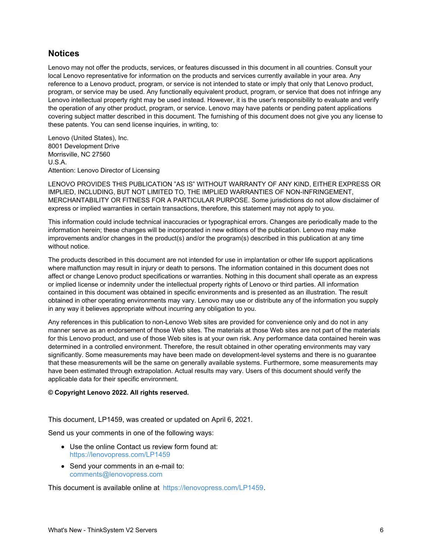# **Notices**

Lenovo may not offer the products, services, or features discussed in this document in all countries. Consult your local Lenovo representative for information on the products and services currently available in your area. Any reference to a Lenovo product, program, or service is not intended to state or imply that only that Lenovo product, program, or service may be used. Any functionally equivalent product, program, or service that does not infringe any Lenovo intellectual property right may be used instead. However, it is the user's responsibility to evaluate and verify the operation of any other product, program, or service. Lenovo may have patents or pending patent applications covering subject matter described in this document. The furnishing of this document does not give you any license to these patents. You can send license inquiries, in writing, to:

Lenovo (United States), Inc. 8001 Development Drive Morrisville, NC 27560 U.S.A. Attention: Lenovo Director of Licensing

LENOVO PROVIDES THIS PUBLICATION "AS IS" WITHOUT WARRANTY OF ANY KIND, EITHER EXPRESS OR IMPLIED, INCLUDING, BUT NOT LIMITED TO, THE IMPLIED WARRANTIES OF NON-INFRINGEMENT, MERCHANTABILITY OR FITNESS FOR A PARTICULAR PURPOSE. Some jurisdictions do not allow disclaimer of express or implied warranties in certain transactions, therefore, this statement may not apply to you.

This information could include technical inaccuracies or typographical errors. Changes are periodically made to the information herein; these changes will be incorporated in new editions of the publication. Lenovo may make improvements and/or changes in the product(s) and/or the program(s) described in this publication at any time without notice.

The products described in this document are not intended for use in implantation or other life support applications where malfunction may result in injury or death to persons. The information contained in this document does not affect or change Lenovo product specifications or warranties. Nothing in this document shall operate as an express or implied license or indemnity under the intellectual property rights of Lenovo or third parties. All information contained in this document was obtained in specific environments and is presented as an illustration. The result obtained in other operating environments may vary. Lenovo may use or distribute any of the information you supply in any way it believes appropriate without incurring any obligation to you.

Any references in this publication to non-Lenovo Web sites are provided for convenience only and do not in any manner serve as an endorsement of those Web sites. The materials at those Web sites are not part of the materials for this Lenovo product, and use of those Web sites is at your own risk. Any performance data contained herein was determined in a controlled environment. Therefore, the result obtained in other operating environments may vary significantly. Some measurements may have been made on development-level systems and there is no guarantee that these measurements will be the same on generally available systems. Furthermore, some measurements may have been estimated through extrapolation. Actual results may vary. Users of this document should verify the applicable data for their specific environment.

#### **© Copyright Lenovo 2022. All rights reserved.**

This document, LP1459, was created or updated on April 6, 2021.

Send us your comments in one of the following ways:

- Use the online Contact us review form found at: <https://lenovopress.com/LP1459>
- Send your comments in an e-mail to: [comments@lenovopress.com](mailto:comments@lenovopress.com?subject=Feedback for LP1459)

This document is available online at <https://lenovopress.com/LP1459>.